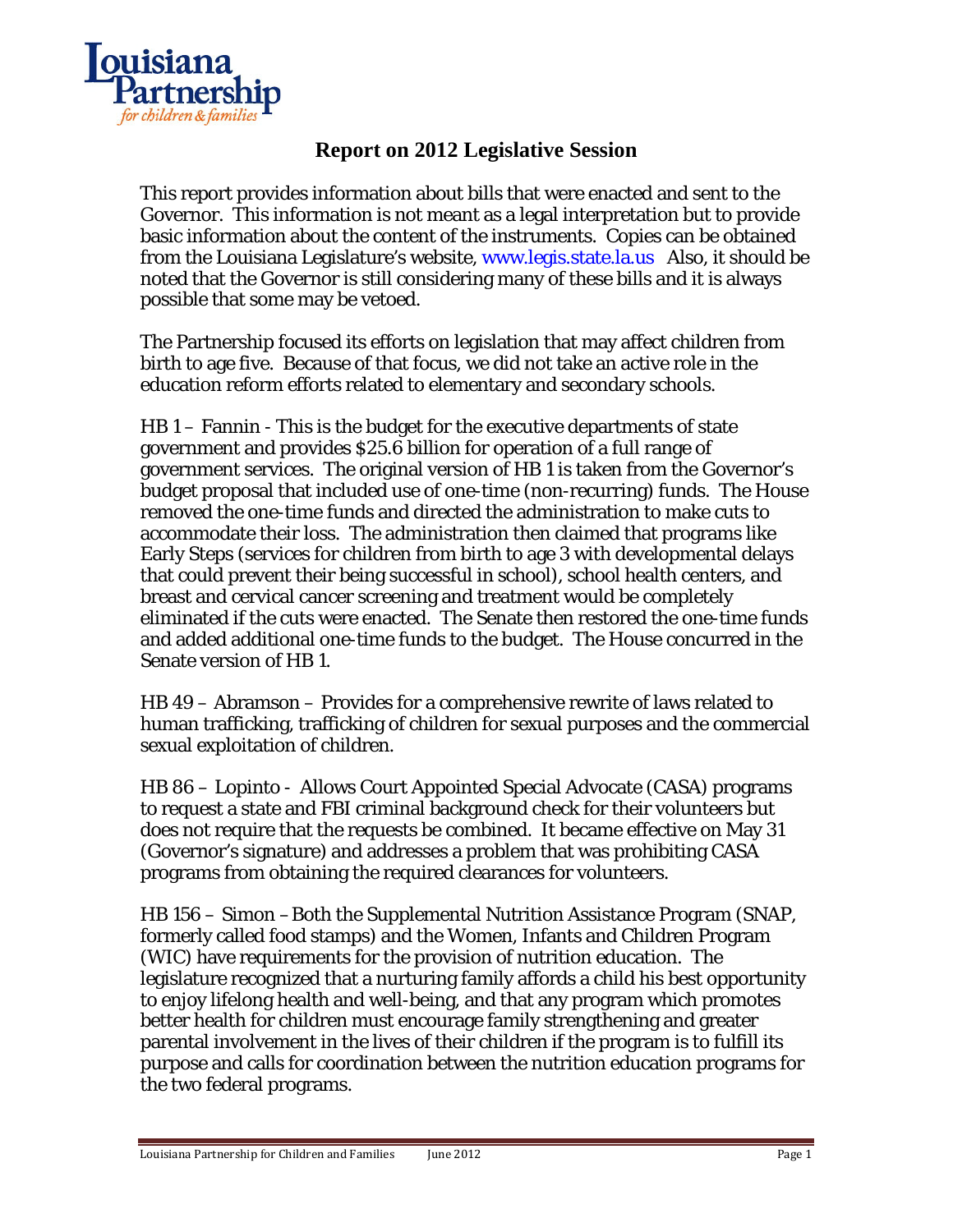

## **Report on 2012 Legislative Session**

This report provides information about bills that were enacted and sent to the Governor. This information is not meant as a legal interpretation but to provide basic information about the content of the instruments. Copies can be obtained from the Louisiana Legislature's website, [www.legis.state.la.us](http://www.legis.state.la.us/) Also, it should be noted that the Governor is still considering many of these bills and it is always possible that some may be vetoed.

The Partnership focused its efforts on legislation that may affect children from birth to age five. Because of that focus, we did not take an active role in the education reform efforts related to elementary and secondary schools.

HB 1 – Fannin - This is the budget for the executive departments of state government and provides \$25.6 billion for operation of a full range of government services. The original version of HB 1 is taken from the Governor's budget proposal that included use of one-time (non-recurring) funds. The House removed the one-time funds and directed the administration to make cuts to accommodate their loss. The administration then claimed that programs like Early Steps (services for children from birth to age 3 with developmental delays that could prevent their being successful in school), school health centers, and breast and cervical cancer screening and treatment would be completely eliminated if the cuts were enacted. The Senate then restored the one-time funds and added additional one-time funds to the budget. The House concurred in the Senate version of HB 1.

HB 49 – Abramson – Provides for a comprehensive rewrite of laws related to human trafficking, trafficking of children for sexual purposes and the commercial sexual exploitation of children.

HB 86 – Lopinto - Allows Court Appointed Special Advocate (CASA) programs to request a state and FBI criminal background check for their volunteers but does not require that the requests be combined. It became effective on May 31 (Governor's signature) and addresses a problem that was prohibiting CASA programs from obtaining the required clearances for volunteers.

HB 156 – Simon –Both the Supplemental Nutrition Assistance Program (SNAP, formerly called food stamps) and the Women, Infants and Children Program (WIC) have requirements for the provision of nutrition education. The legislature recognized that a nurturing family affords a child his best opportunity to enjoy lifelong health and well-being, and that any program which promotes better health for children must encourage family strengthening and greater parental involvement in the lives of their children if the program is to fulfill its purpose and calls for coordination between the nutrition education programs for the two federal programs.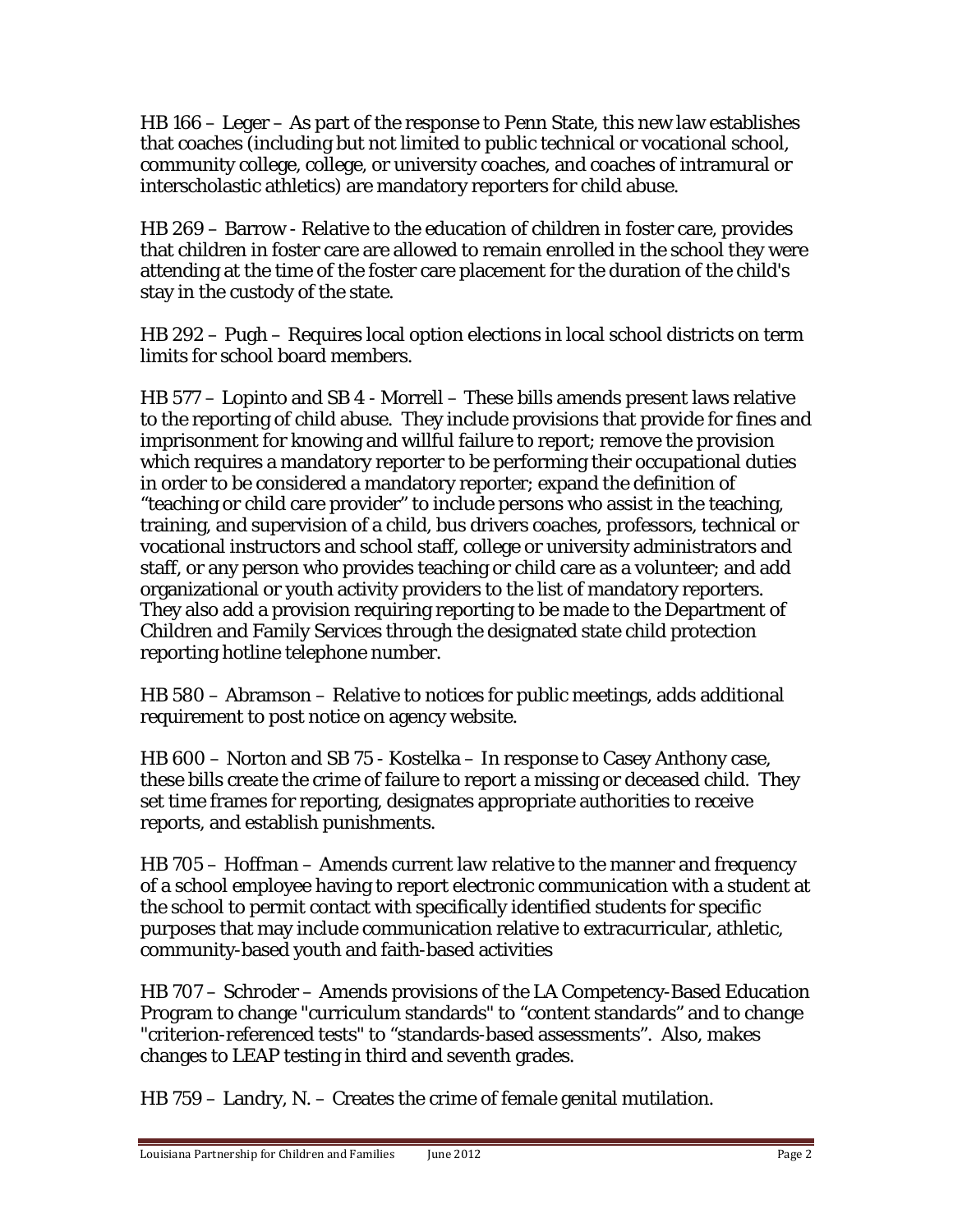HB 166 – Leger – As part of the response to Penn State, this new law establishes that coaches (including but not limited to public technical or vocational school, community college, college, or university coaches, and coaches of intramural or interscholastic athletics) are mandatory reporters for child abuse.

HB 269 – Barrow - Relative to the education of children in foster care, provides that children in foster care are allowed to remain enrolled in the school they were attending at the time of the foster care placement for the duration of the child's stay in the custody of the state.

HB 292 – Pugh – Requires local option elections in local school districts on term limits for school board members.

HB 577 – Lopinto and SB 4 - Morrell – These bills amends present laws relative to the reporting of child abuse. They include provisions that provide for fines and imprisonment for knowing and willful failure to report; remove the provision which requires a mandatory reporter to be performing their occupational duties in order to be considered a mandatory reporter; expand the definition of "teaching or child care provider" to include persons who assist in the teaching, training, and supervision of a child, bus drivers coaches, professors, technical or vocational instructors and school staff, college or university administrators and staff, or any person who provides teaching or child care as a volunteer; and add organizational or youth activity providers to the list of mandatory reporters. They also add a provision requiring reporting to be made to the Department of Children and Family Services through the designated state child protection reporting hotline telephone number.

HB 580 – Abramson – Relative to notices for public meetings, adds additional requirement to post notice on agency website.

HB 600 – Norton and SB 75 - Kostelka – In response to Casey Anthony case, these bills create the crime of failure to report a missing or deceased child. They set time frames for reporting, designates appropriate authorities to receive reports, and establish punishments.

HB 705 – Hoffman – Amends current law relative to the manner and frequency of a school employee having to report electronic communication with a student at the school to permit contact with specifically identified students for specific purposes that may include communication relative to extracurricular, athletic, community-based youth and faith-based activities

HB 707 – Schroder – Amends provisions of the LA Competency-Based Education Program to change "curriculum standards" to "content standards" and to change "criterion-referenced tests" to "standards-based assessments". Also, makes changes to LEAP testing in third and seventh grades.

HB 759 – Landry, N. – Creates the crime of female genital mutilation.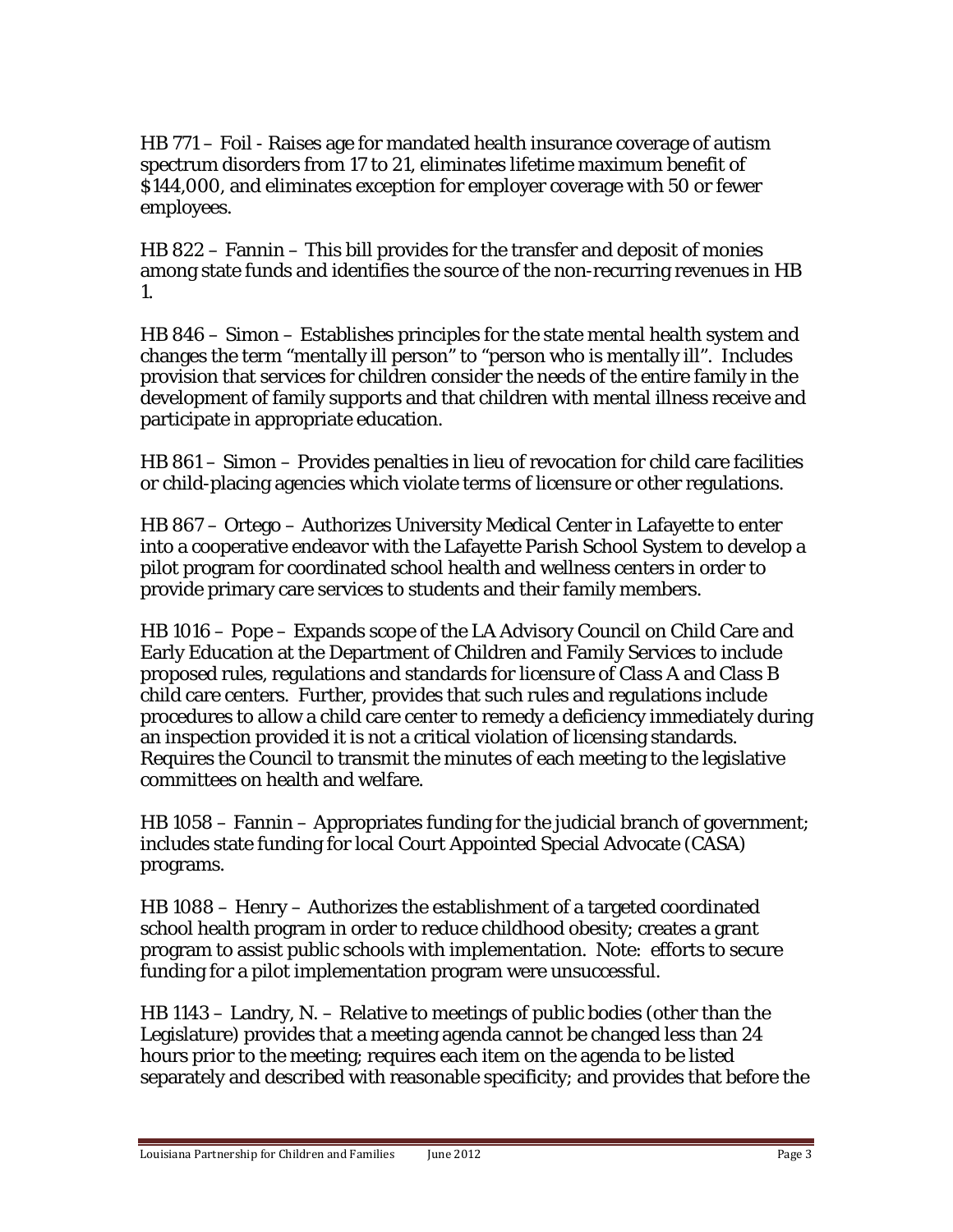HB 771 – Foil - Raises age for mandated health insurance coverage of autism spectrum disorders from 17 to 21, eliminates lifetime maximum benefit of \$144,000, and eliminates exception for employer coverage with 50 or fewer employees.

HB 822 – Fannin – This bill provides for the transfer and deposit of monies among state funds and identifies the source of the non-recurring revenues in HB 1.

HB 846 – Simon – Establishes principles for the state mental health system and changes the term "mentally ill person" to "person who is mentally ill". Includes provision that services for children consider the needs of the entire family in the development of family supports and that children with mental illness receive and participate in appropriate education.

HB 861 – Simon – Provides penalties in lieu of revocation for child care facilities or child-placing agencies which violate terms of licensure or other regulations.

HB 867 – Ortego – Authorizes University Medical Center in Lafayette to enter into a cooperative endeavor with the Lafayette Parish School System to develop a pilot program for coordinated school health and wellness centers in order to provide primary care services to students and their family members.

HB 1016 – Pope – Expands scope of the LA Advisory Council on Child Care and Early Education at the Department of Children and Family Services to include proposed rules, regulations and standards for licensure of Class A and Class B child care centers. Further, provides that such rules and regulations include procedures to allow a child care center to remedy a deficiency immediately during an inspection provided it is not a critical violation of licensing standards. Requires the Council to transmit the minutes of each meeting to the legislative committees on health and welfare.

HB 1058 – Fannin – Appropriates funding for the judicial branch of government; includes state funding for local Court Appointed Special Advocate (CASA) programs.

HB 1088 – Henry – Authorizes the establishment of a targeted coordinated school health program in order to reduce childhood obesity; creates a grant program to assist public schools with implementation. Note: efforts to secure funding for a pilot implementation program were unsuccessful.

HB 1143 – Landry, N. – Relative to meetings of public bodies (other than the Legislature) provides that a meeting agenda cannot be changed less than 24 hours prior to the meeting; requires each item on the agenda to be listed separately and described with reasonable specificity; and provides that before the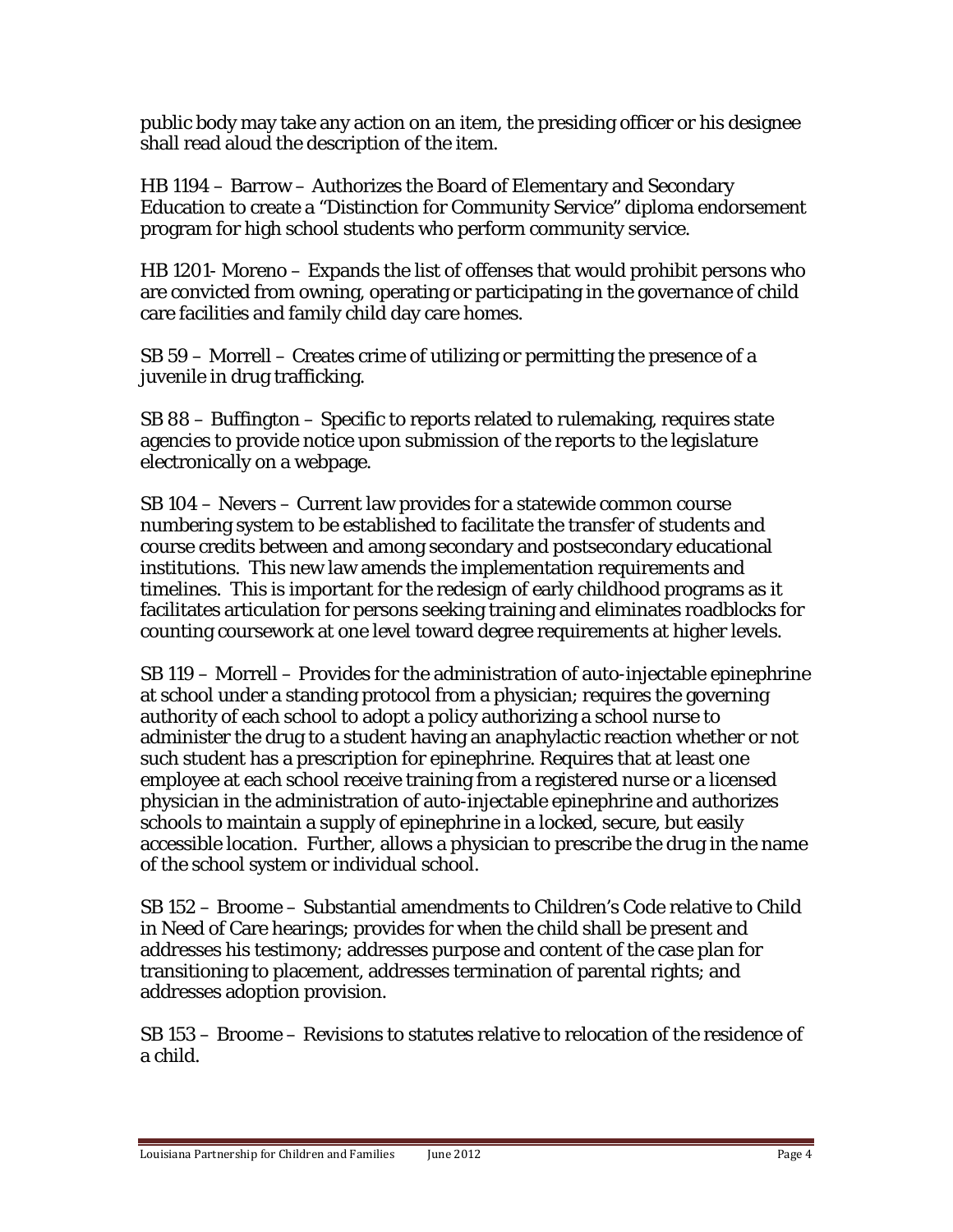public body may take any action on an item, the presiding officer or his designee shall read aloud the description of the item.

HB 1194 – Barrow – Authorizes the Board of Elementary and Secondary Education to create a "Distinction for Community Service" diploma endorsement program for high school students who perform community service.

HB 1201- Moreno – Expands the list of offenses that would prohibit persons who are convicted from owning, operating or participating in the governance of child care facilities and family child day care homes.

SB 59 – Morrell – Creates crime of utilizing or permitting the presence of a juvenile in drug trafficking.

SB 88 – Buffington – Specific to reports related to rulemaking, requires state agencies to provide notice upon submission of the reports to the legislature electronically on a webpage.

SB 104 – Nevers – Current law provides for a statewide common course numbering system to be established to facilitate the transfer of students and course credits between and among secondary and postsecondary educational institutions. This new law amends the implementation requirements and timelines. This is important for the redesign of early childhood programs as it facilitates articulation for persons seeking training and eliminates roadblocks for counting coursework at one level toward degree requirements at higher levels.

SB 119 – Morrell – Provides for the administration of auto-injectable epinephrine at school under a standing protocol from a physician; requires the governing authority of each school to adopt a policy authorizing a school nurse to administer the drug to a student having an anaphylactic reaction whether or not such student has a prescription for epinephrine. Requires that at least one employee at each school receive training from a registered nurse or a licensed physician in the administration of auto-injectable epinephrine and authorizes schools to maintain a supply of epinephrine in a locked, secure, but easily accessible location. Further, allows a physician to prescribe the drug in the name of the school system or individual school.

SB 152 – Broome – Substantial amendments to Children's Code relative to Child in Need of Care hearings; provides for when the child shall be present and addresses his testimony; addresses purpose and content of the case plan for transitioning to placement, addresses termination of parental rights; and addresses adoption provision.

SB 153 – Broome – Revisions to statutes relative to relocation of the residence of a child.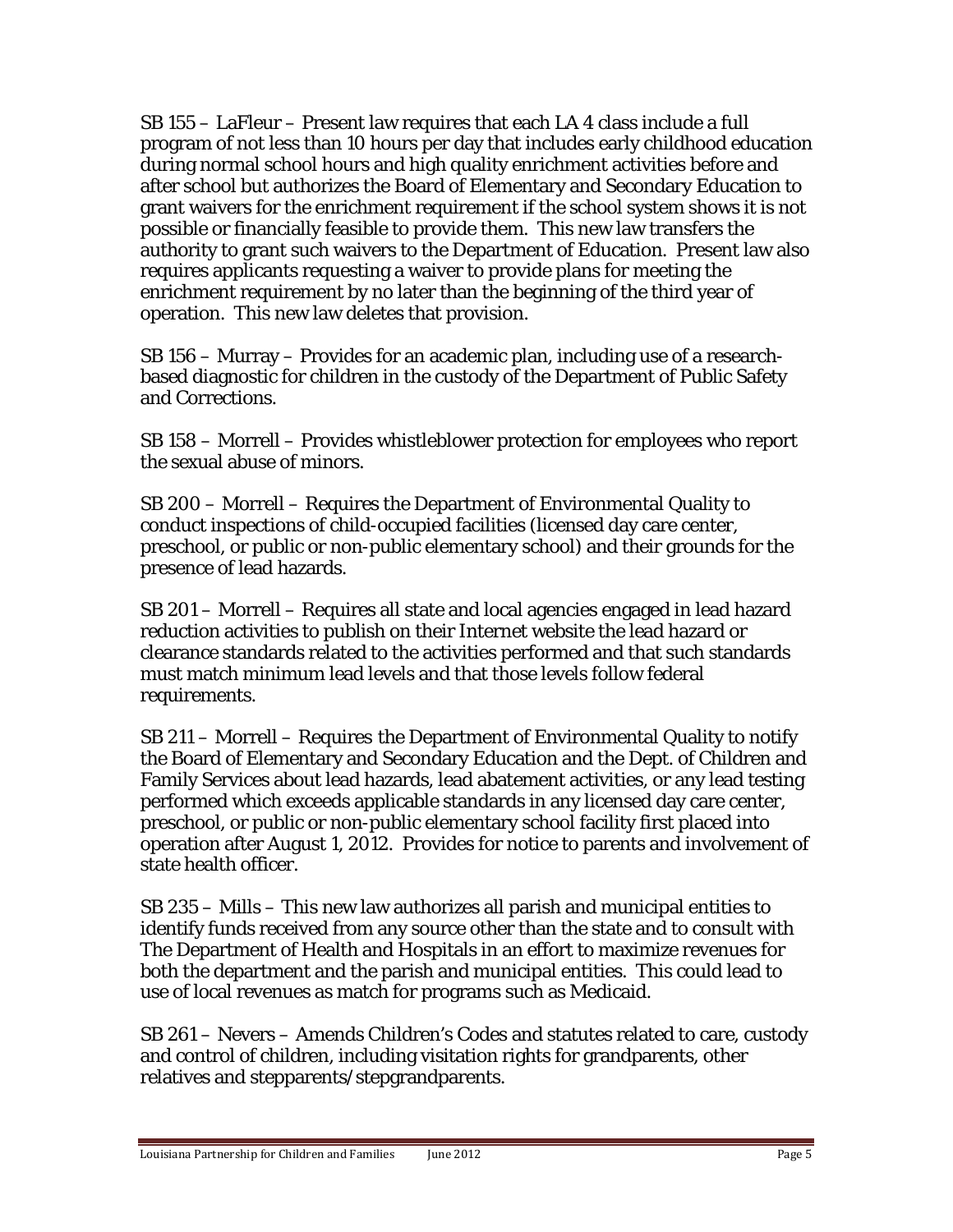SB 155 – LaFleur – Present law requires that each LA 4 class include a full program of not less than 10 hours per day that includes early childhood education during normal school hours and high quality enrichment activities before and after school but authorizes the Board of Elementary and Secondary Education to grant waivers for the enrichment requirement if the school system shows it is not possible or financially feasible to provide them. This new law transfers the authority to grant such waivers to the Department of Education. Present law also requires applicants requesting a waiver to provide plans for meeting the enrichment requirement by no later than the beginning of the third year of operation. This new law deletes that provision.

SB 156 – Murray – Provides for an academic plan, including use of a researchbased diagnostic for children in the custody of the Department of Public Safety and Corrections.

SB 158 – Morrell – Provides whistleblower protection for employees who report the sexual abuse of minors.

SB 200 – Morrell – Requires the Department of Environmental Quality to conduct inspections of child-occupied facilities (licensed day care center, preschool, or public or non-public elementary school) and their grounds for the presence of lead hazards.

SB 201 – Morrell – Requires all state and local agencies engaged in lead hazard reduction activities to publish on their Internet website the lead hazard or clearance standards related to the activities performed and that such standards must match minimum lead levels and that those levels follow federal requirements.

SB 211 – Morrell – Requires the Department of Environmental Quality to notify the Board of Elementary and Secondary Education and the Dept. of Children and Family Services about lead hazards, lead abatement activities, or any lead testing performed which exceeds applicable standards in any licensed day care center, preschool, or public or non-public elementary school facility first placed into operation after August 1, 2012. Provides for notice to parents and involvement of state health officer.

SB 235 – Mills – This new law authorizes all parish and municipal entities to identify funds received from any source other than the state and to consult with The Department of Health and Hospitals in an effort to maximize revenues for both the department and the parish and municipal entities. This could lead to use of local revenues as match for programs such as Medicaid.

SB 261 – Nevers – Amends Children's Codes and statutes related to care, custody and control of children, including visitation rights for grandparents, other relatives and stepparents/stepgrandparents.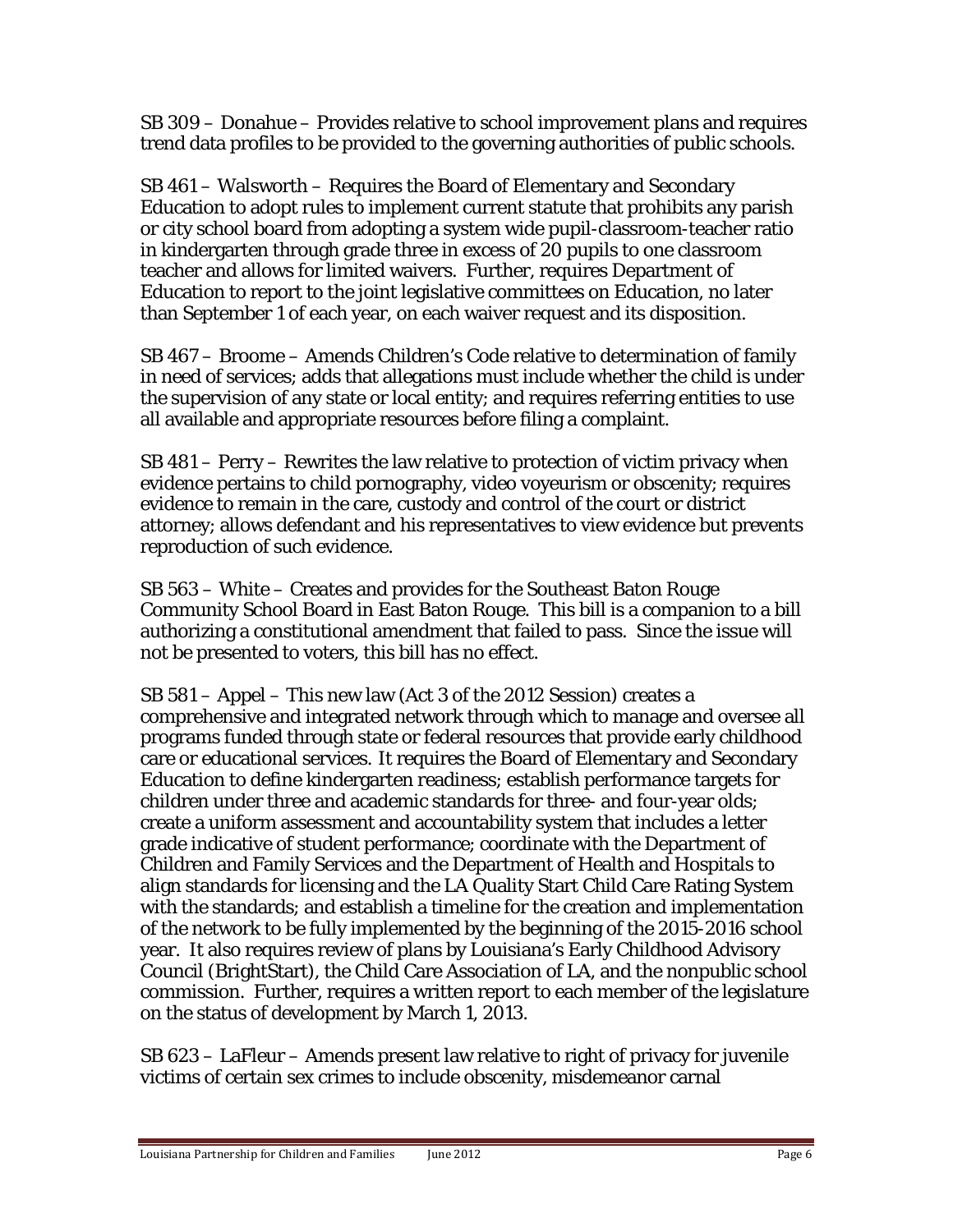SB 309 – Donahue – Provides relative to school improvement plans and requires trend data profiles to be provided to the governing authorities of public schools.

SB 461 – Walsworth – Requires the Board of Elementary and Secondary Education to adopt rules to implement current statute that prohibits any parish or city school board from adopting a system wide pupil-classroom-teacher ratio in kindergarten through grade three in excess of 20 pupils to one classroom teacher and allows for limited waivers. Further, requires Department of Education to report to the joint legislative committees on Education, no later than September 1 of each year, on each waiver request and its disposition.

SB 467 – Broome – Amends Children's Code relative to determination of family in need of services; adds that allegations must include whether the child is under the supervision of any state or local entity; and requires referring entities to use all available and appropriate resources before filing a complaint.

SB 481 – Perry – Rewrites the law relative to protection of victim privacy when evidence pertains to child pornography, video voyeurism or obscenity; requires evidence to remain in the care, custody and control of the court or district attorney; allows defendant and his representatives to view evidence but prevents reproduction of such evidence.

SB 563 – White – Creates and provides for the Southeast Baton Rouge Community School Board in East Baton Rouge. This bill is a companion to a bill authorizing a constitutional amendment that failed to pass. Since the issue will not be presented to voters, this bill has no effect.

SB 581 – Appel – This new law (Act 3 of the 2012 Session) creates a comprehensive and integrated network through which to manage and oversee all programs funded through state or federal resources that provide early childhood care or educational services. It requires the Board of Elementary and Secondary Education to define kindergarten readiness; establish performance targets for children under three and academic standards for three- and four-year olds; create a uniform assessment and accountability system that includes a letter grade indicative of student performance; coordinate with the Department of Children and Family Services and the Department of Health and Hospitals to align standards for licensing and the LA Quality Start Child Care Rating System with the standards; and establish a timeline for the creation and implementation of the network to be fully implemented by the beginning of the 2015-2016 school year. It also requires review of plans by Louisiana's Early Childhood Advisory Council (BrightStart), the Child Care Association of LA, and the nonpublic school commission. Further, requires a written report to each member of the legislature on the status of development by March 1, 2013.

SB 623 – LaFleur – Amends present law relative to right of privacy for juvenile victims of certain sex crimes to include obscenity, misdemeanor carnal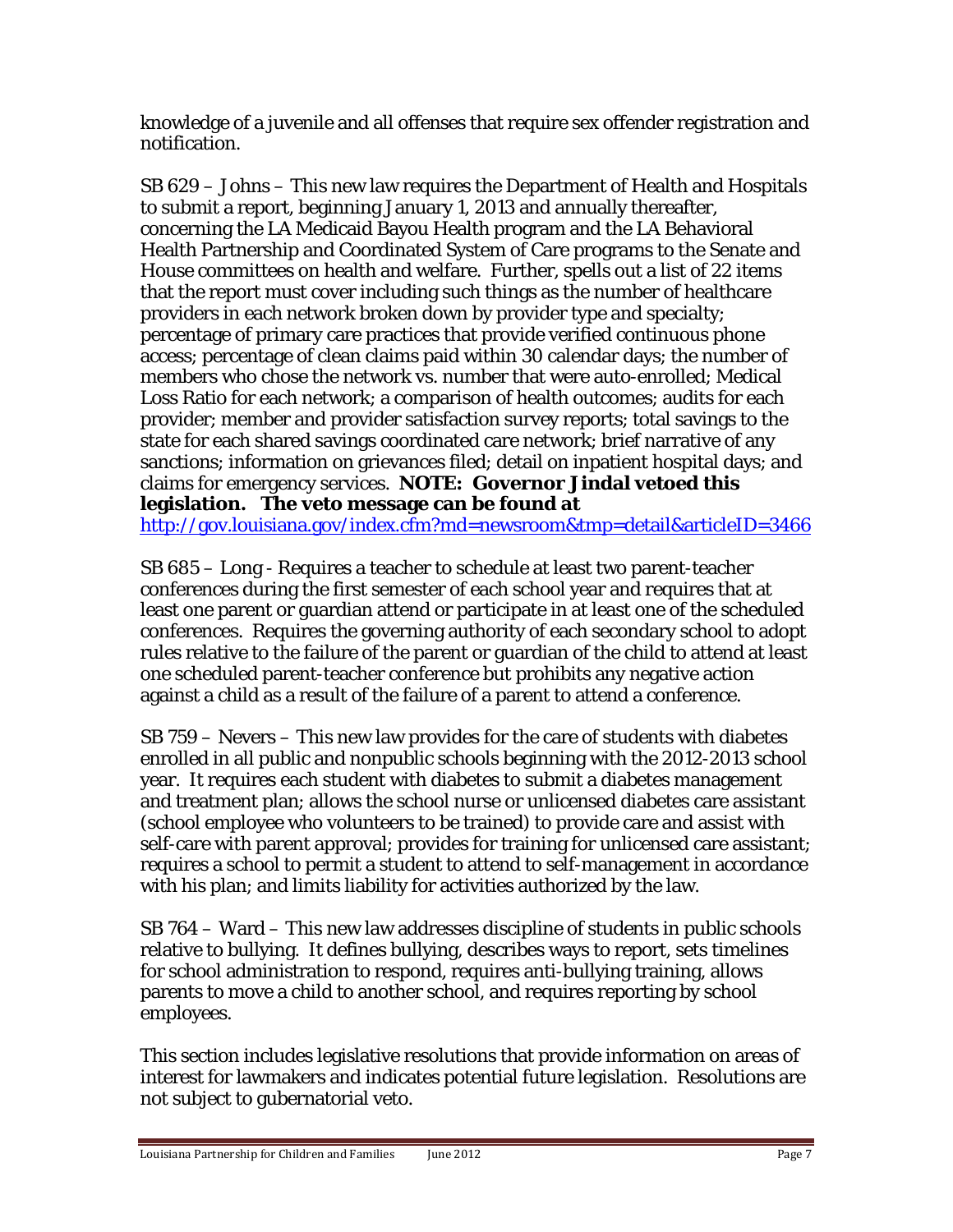knowledge of a juvenile and all offenses that require sex offender registration and notification.

SB 629 – Johns – This new law requires the Department of Health and Hospitals to submit a report, beginning January 1, 2013 and annually thereafter, concerning the LA Medicaid Bayou Health program and the LA Behavioral Health Partnership and Coordinated System of Care programs to the Senate and House committees on health and welfare. Further, spells out a list of 22 items that the report must cover including such things as the number of healthcare providers in each network broken down by provider type and specialty; percentage of primary care practices that provide verified continuous phone access; percentage of clean claims paid within 30 calendar days; the number of members who chose the network vs. number that were auto-enrolled; Medical Loss Ratio for each network; a comparison of health outcomes; audits for each provider; member and provider satisfaction survey reports; total savings to the state for each shared savings coordinated care network; brief narrative of any sanctions; information on grievances filed; detail on inpatient hospital days; and claims for emergency services. **NOTE: Governor Jindal vetoed this legislation. The veto message can be found at** <http://gov.louisiana.gov/index.cfm?md=newsroom&tmp=detail&articleID=3466>

SB 685 – Long - Requires a teacher to schedule at least two parent-teacher conferences during the first semester of each school year and requires that at least one parent or guardian attend or participate in at least one of the scheduled conferences. Requires the governing authority of each secondary school to adopt rules relative to the failure of the parent or guardian of the child to attend at least one scheduled parent-teacher conference but prohibits any negative action against a child as a result of the failure of a parent to attend a conference.

SB 759 – Nevers – This new law provides for the care of students with diabetes enrolled in all public and nonpublic schools beginning with the 2012-2013 school year. It requires each student with diabetes to submit a diabetes management and treatment plan; allows the school nurse or unlicensed diabetes care assistant (school employee who volunteers to be trained) to provide care and assist with self-care with parent approval; provides for training for unlicensed care assistant; requires a school to permit a student to attend to self-management in accordance with his plan; and limits liability for activities authorized by the law.

SB 764 – Ward – This new law addresses discipline of students in public schools relative to bullying. It defines bullying, describes ways to report, sets timelines for school administration to respond, requires anti-bullying training, allows parents to move a child to another school, and requires reporting by school employees.

This section includes legislative resolutions that provide information on areas of interest for lawmakers and indicates potential future legislation. Resolutions are not subject to gubernatorial veto.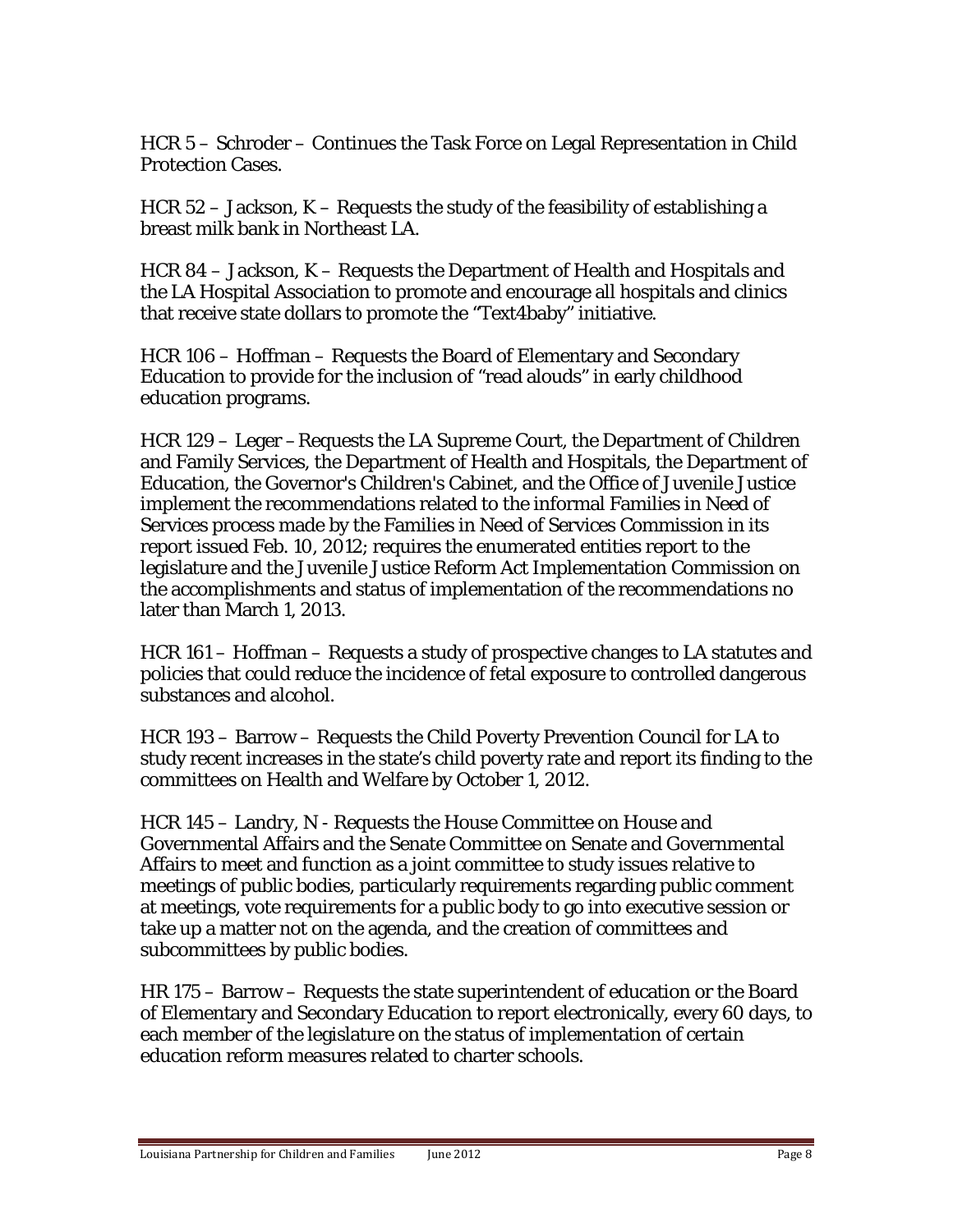HCR 5 – Schroder – Continues the Task Force on Legal Representation in Child Protection Cases.

HCR  $52 -$  Jackson,  $K -$  Requests the study of the feasibility of establishing a breast milk bank in Northeast LA.

HCR 84 – Jackson, K – Requests the Department of Health and Hospitals and the LA Hospital Association to promote and encourage all hospitals and clinics that receive state dollars to promote the "Text4baby" initiative.

HCR 106 – Hoffman – Requests the Board of Elementary and Secondary Education to provide for the inclusion of "read alouds" in early childhood education programs.

HCR 129 – Leger –Requests the LA Supreme Court, the Department of Children and Family Services, the Department of Health and Hospitals, the Department of Education, the Governor's Children's Cabinet, and the Office of Juvenile Justice implement the recommendations related to the informal Families in Need of Services process made by the Families in Need of Services Commission in its report issued Feb. 10, 2012; requires the enumerated entities report to the legislature and the Juvenile Justice Reform Act Implementation Commission on the accomplishments and status of implementation of the recommendations no later than March 1, 2013.

HCR 161 – Hoffman – Requests a study of prospective changes to LA statutes and policies that could reduce the incidence of fetal exposure to controlled dangerous substances and alcohol.

HCR 193 – Barrow – Requests the Child Poverty Prevention Council for LA to study recent increases in the state's child poverty rate and report its finding to the committees on Health and Welfare by October 1, 2012.

HCR 145 – Landry, N - Requests the House Committee on House and Governmental Affairs and the Senate Committee on Senate and Governmental Affairs to meet and function as a joint committee to study issues relative to meetings of public bodies, particularly requirements regarding public comment at meetings, vote requirements for a public body to go into executive session or take up a matter not on the agenda, and the creation of committees and subcommittees by public bodies.

HR 175 – Barrow – Requests the state superintendent of education or the Board of Elementary and Secondary Education to report electronically, every 60 days, to each member of the legislature on the status of implementation of certain education reform measures related to charter schools.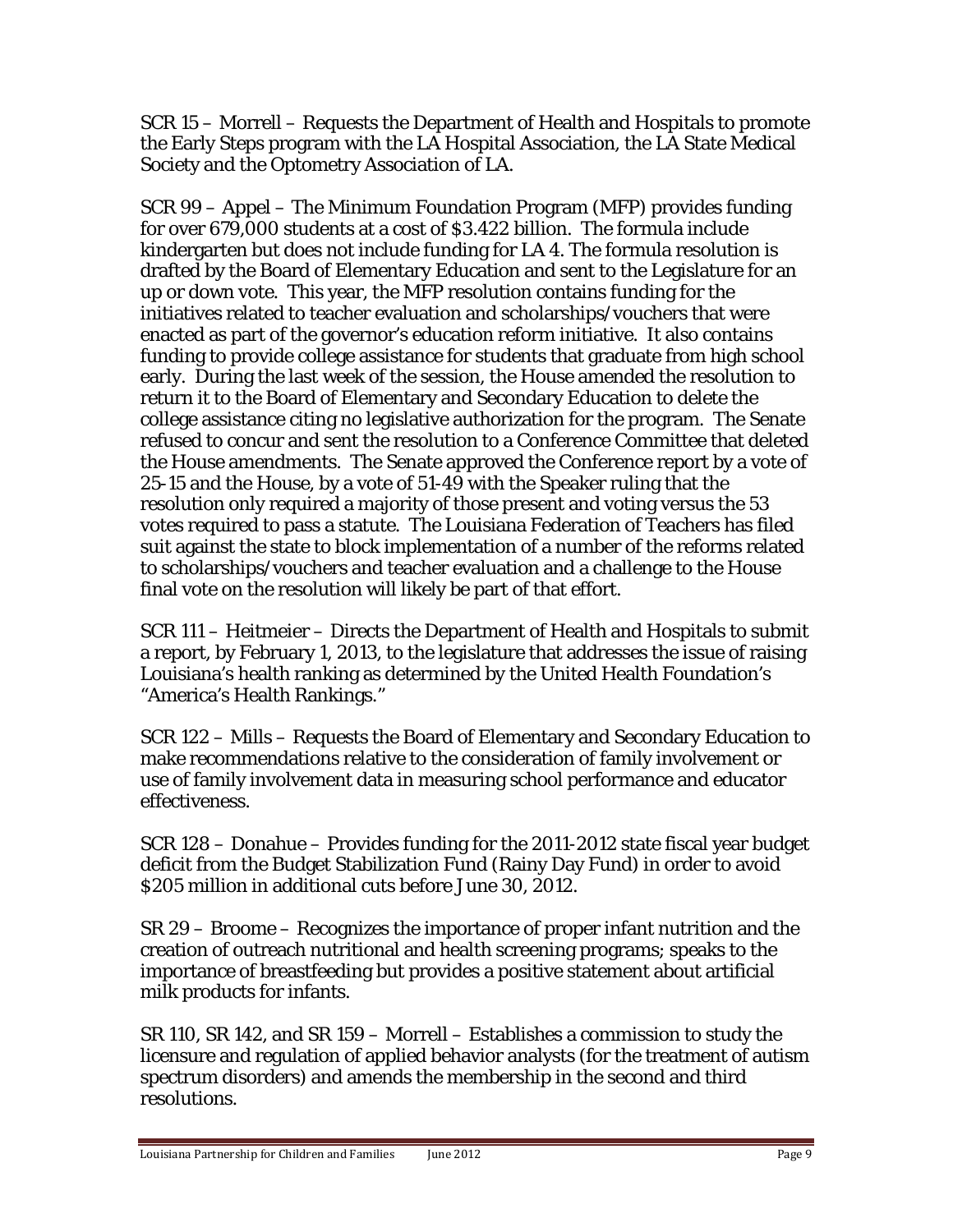SCR 15 – Morrell – Requests the Department of Health and Hospitals to promote the Early Steps program with the LA Hospital Association, the LA State Medical Society and the Optometry Association of LA.

SCR 99 – Appel – The Minimum Foundation Program (MFP) provides funding for over 679,000 students at a cost of \$3.422 billion. The formula include kindergarten but does not include funding for LA 4. The formula resolution is drafted by the Board of Elementary Education and sent to the Legislature for an up or down vote. This year, the MFP resolution contains funding for the initiatives related to teacher evaluation and scholarships/vouchers that were enacted as part of the governor's education reform initiative. It also contains funding to provide college assistance for students that graduate from high school early. During the last week of the session, the House amended the resolution to return it to the Board of Elementary and Secondary Education to delete the college assistance citing no legislative authorization for the program. The Senate refused to concur and sent the resolution to a Conference Committee that deleted the House amendments. The Senate approved the Conference report by a vote of 25-15 and the House, by a vote of 51-49 with the Speaker ruling that the resolution only required a majority of those present and voting versus the 53 votes required to pass a statute. The Louisiana Federation of Teachers has filed suit against the state to block implementation of a number of the reforms related to scholarships/vouchers and teacher evaluation and a challenge to the House final vote on the resolution will likely be part of that effort.

SCR 111 – Heitmeier – Directs the Department of Health and Hospitals to submit a report, by February 1, 2013, to the legislature that addresses the issue of raising Louisiana's health ranking as determined by the United Health Foundation's "America's Health Rankings."

SCR 122 – Mills – Requests the Board of Elementary and Secondary Education to make recommendations relative to the consideration of family involvement or use of family involvement data in measuring school performance and educator effectiveness.

SCR 128 – Donahue – Provides funding for the 2011-2012 state fiscal year budget deficit from the Budget Stabilization Fund (Rainy Day Fund) in order to avoid \$205 million in additional cuts before June 30, 2012.

SR 29 – Broome – Recognizes the importance of proper infant nutrition and the creation of outreach nutritional and health screening programs; speaks to the importance of breastfeeding but provides a positive statement about artificial milk products for infants.

SR 110, SR 142, and SR 159 – Morrell – Establishes a commission to study the licensure and regulation of applied behavior analysts (for the treatment of autism spectrum disorders) and amends the membership in the second and third resolutions.